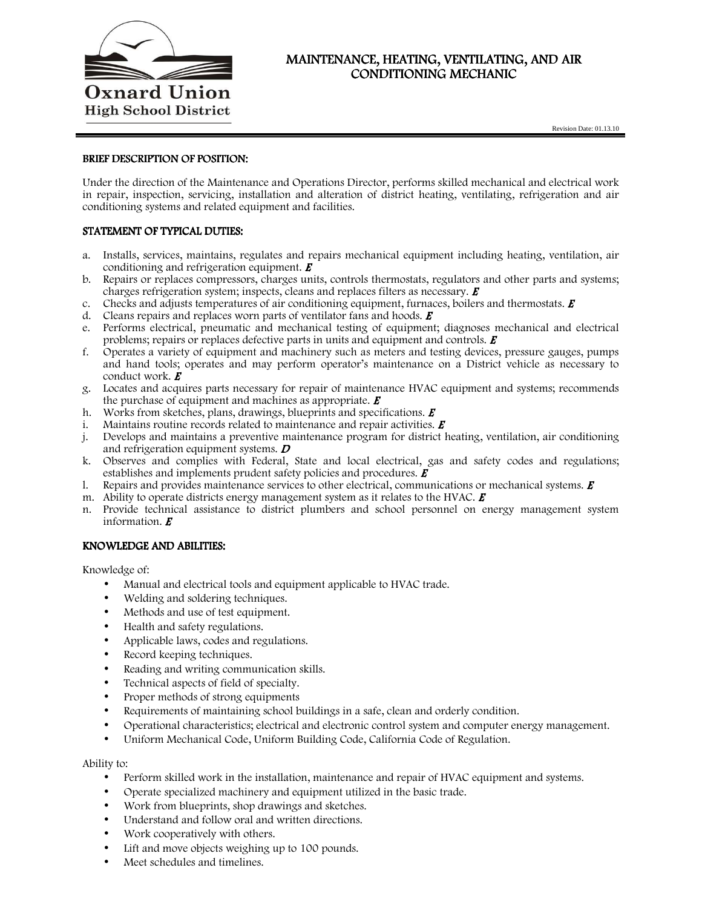

# MAINTENANCE, HEATING, VENTILATING, AND AIR CONDITIONING MECHANIC

### BRIEF DESCRIPTION OF POSITION:

Under the direction of the Maintenance and Operations Director, performs skilled mechanical and electrical work in repair, inspection, servicing, installation and alteration of district heating, ventilating, refrigeration and air conditioning systems and related equipment and facilities.

## STATEMENT OF TYPICAL DUTIES:

- a. Installs, services, maintains, regulates and repairs mechanical equipment including heating, ventilation, air conditioning and refrigeration equipment.  $\boldsymbol{E}$
- b. Repairs or replaces compressors, charges units, controls thermostats, regulators and other parts and systems; charges refrigeration system; inspects, cleans and replaces filters as necessary.  $\boldsymbol{E}$
- c. Checks and adjusts temperatures of air conditioning equipment, furnaces, boilers and thermostats.  $\boldsymbol{E}$
- d. Cleans repairs and replaces worn parts of ventilator fans and hoods.  $E$
- e. Performs electrical, pneumatic and mechanical testing of equipment; diagnoses mechanical and electrical problems; repairs or replaces defective parts in units and equipment and controls.  $\boldsymbol{E}$
- f. Operates a variety of equipment and machinery such as meters and testing devices, pressure gauges, pumps and hand tools; operates and may perform operator's maintenance on a District vehicle as necessary to conduct work.  $\boldsymbol{E}$
- g. Locates and acquires parts necessary for repair of maintenance HVAC equipment and systems; recommends the purchase of equipment and machines as appropriate.  $\boldsymbol{E}$
- h. Works from sketches, plans, drawings, blueprints and specifications.  $\boldsymbol{E}$
- i. Maintains routine records related to maintenance and repair activities.  $\boldsymbol{E}$
- j. Develops and maintains a preventive maintenance program for district heating, ventilation, air conditioning and refrigeration equipment systems.  $\boldsymbol{D}$
- k. Observes and complies with Federal, State and local electrical, gas and safety codes and regulations; establishes and implements prudent safety policies and procedures.  $\boldsymbol{E}$
- 1. Repairs and provides maintenance services to other electrical, communications or mechanical systems.  $\boldsymbol{E}$
- m. Ability to operate districts energy management system as it relates to the HVAC.  $\boldsymbol{E}$
- n. Provide technical assistance to district plumbers and school personnel on energy management system information. <sup>E</sup>

## KNOWLEDGE AND ABILITIES:

Knowledge of:

- Manual and electrical tools and equipment applicable to HVAC trade.
- Welding and soldering techniques.
- Methods and use of test equipment.
- Health and safety regulations.
- Applicable laws, codes and regulations.
- Record keeping techniques.
- Reading and writing communication skills.
- Technical aspects of field of specialty.
- Proper methods of strong equipments
- Requirements of maintaining school buildings in a safe, clean and orderly condition.
- Operational characteristics; electrical and electronic control system and computer energy management.
- Uniform Mechanical Code, Uniform Building Code, California Code of Regulation.

#### Ability to:

- Perform skilled work in the installation, maintenance and repair of HVAC equipment and systems.
- Operate specialized machinery and equipment utilized in the basic trade.
- Work from blueprints, shop drawings and sketches.
- Understand and follow oral and written directions.
- Work cooperatively with others.
- Lift and move objects weighing up to 100 pounds.
- Meet schedules and timelines.